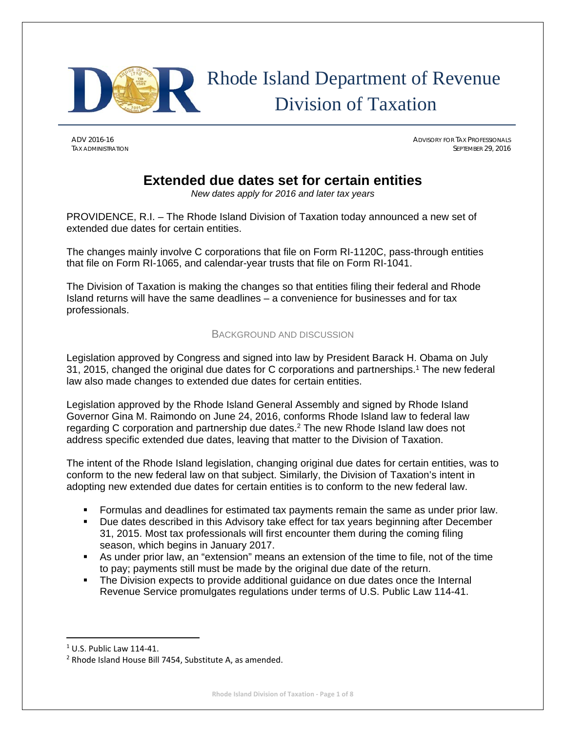

# Rhode Island Department of Revenue Division of Taxation

ADV 2016-16 ADVISORY FOR TAX PROFESSIONALS TAX ADMINISTRATION SEPTEMBER 29, 2016

# **Extended due dates set for certain entities**

*New dates apply for 2016 and later tax years*

PROVIDENCE, R.I. – The Rhode Island Division of Taxation today announced a new set of extended due dates for certain entities.

The changes mainly involve C corporations that file on Form RI-1120C, pass-through entities that file on Form RI-1065, and calendar-year trusts that file on Form RI-1041.

The Division of Taxation is making the changes so that entities filing their federal and Rhode Island returns will have the same deadlines – a convenience for businesses and for tax professionals.

# BACKGROUND AND DISCUSSION

Legislation approved by Congress and signed into law by President Barack H. Obama on July 31, 2015, changed the original due dates for C corporations and partnerships.1 The new federal law also made changes to extended due dates for certain entities.

Legislation approved by the Rhode Island General Assembly and signed by Rhode Island Governor Gina M. Raimondo on June 24, 2016, conforms Rhode Island law to federal law regarding C corporation and partnership due dates.<sup>2</sup> The new Rhode Island law does not address specific extended due dates, leaving that matter to the Division of Taxation.

The intent of the Rhode Island legislation, changing original due dates for certain entities, was to conform to the new federal law on that subject. Similarly, the Division of Taxation's intent in adopting new extended due dates for certain entities is to conform to the new federal law.

- Formulas and deadlines for estimated tax payments remain the same as under prior law.
- Due dates described in this Advisory take effect for tax years beginning after December 31, 2015. Most tax professionals will first encounter them during the coming filing season, which begins in January 2017.
- As under prior law, an "extension" means an extension of the time to file, not of the time to pay; payments still must be made by the original due date of the return.
- The Division expects to provide additional guidance on due dates once the Internal Revenue Service promulgates regulations under terms of U.S. Public Law 114-41.

<sup>1</sup> U.S. Public Law 114‐41.

<sup>2</sup> Rhode Island House Bill 7454, Substitute A, as amended.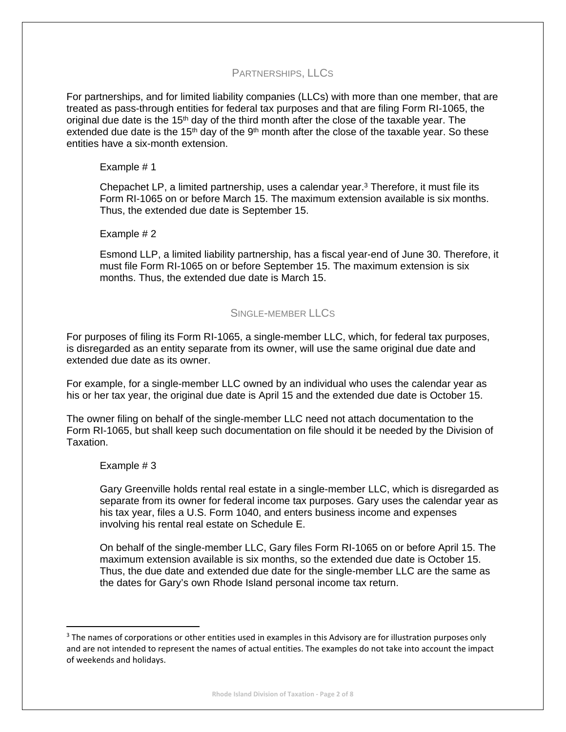# PARTNERSHIPS, LLCS

For partnerships, and for limited liability companies (LLCs) with more than one member, that are treated as pass-through entities for federal tax purposes and that are filing Form RI-1065, the original due date is the  $15<sup>th</sup>$  day of the third month after the close of the taxable year. The extended due date is the 15<sup>th</sup> day of the  $9<sup>th</sup>$  month after the close of the taxable year. So these entities have a six-month extension.

# Example # 1

Chepachet LP, a limited partnership, uses a calendar year.3 Therefore, it must file its Form RI-1065 on or before March 15. The maximum extension available is six months. Thus, the extended due date is September 15.

# Example # 2

Esmond LLP, a limited liability partnership, has a fiscal year-end of June 30. Therefore, it must file Form RI-1065 on or before September 15. The maximum extension is six months. Thus, the extended due date is March 15.

# SINGLE-MEMBER LLCS

For purposes of filing its Form RI-1065, a single-member LLC, which, for federal tax purposes, is disregarded as an entity separate from its owner, will use the same original due date and extended due date as its owner.

For example, for a single-member LLC owned by an individual who uses the calendar year as his or her tax year, the original due date is April 15 and the extended due date is October 15.

The owner filing on behalf of the single-member LLC need not attach documentation to the Form RI-1065, but shall keep such documentation on file should it be needed by the Division of Taxation.

## Example # 3

Gary Greenville holds rental real estate in a single-member LLC, which is disregarded as separate from its owner for federal income tax purposes. Gary uses the calendar year as his tax year, files a U.S. Form 1040, and enters business income and expenses involving his rental real estate on Schedule E.

On behalf of the single-member LLC, Gary files Form RI-1065 on or before April 15. The maximum extension available is six months, so the extended due date is October 15. Thus, the due date and extended due date for the single-member LLC are the same as the dates for Gary's own Rhode Island personal income tax return.

 $3$  The names of corporations or other entities used in examples in this Advisory are for illustration purposes only and are not intended to represent the names of actual entities. The examples do not take into account the impact of weekends and holidays.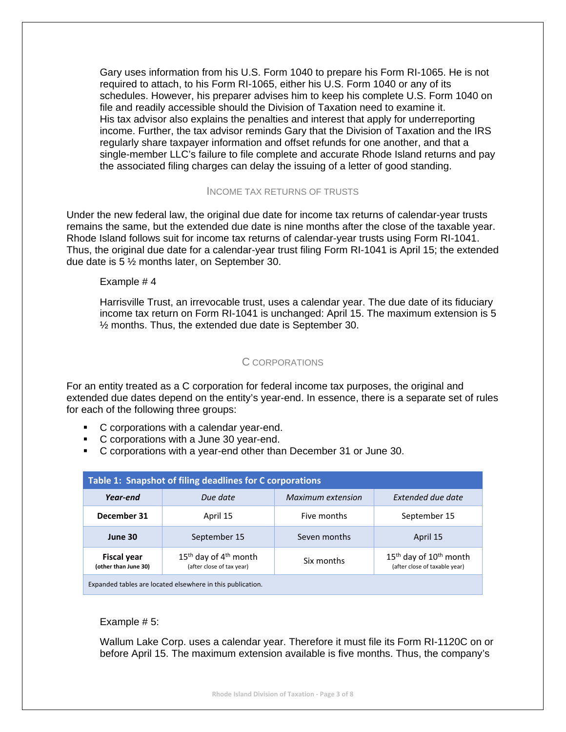Gary uses information from his U.S. Form 1040 to prepare his Form RI-1065. He is not required to attach, to his Form RI-1065, either his U.S. Form 1040 or any of its schedules. However, his preparer advises him to keep his complete U.S. Form 1040 on file and readily accessible should the Division of Taxation need to examine it. His tax advisor also explains the penalties and interest that apply for underreporting income. Further, the tax advisor reminds Gary that the Division of Taxation and the IRS regularly share taxpayer information and offset refunds for one another, and that a single-member LLC's failure to file complete and accurate Rhode Island returns and pay the associated filing charges can delay the issuing of a letter of good standing.

# INCOME TAX RETURNS OF TRUSTS

Under the new federal law, the original due date for income tax returns of calendar-year trusts remains the same, but the extended due date is nine months after the close of the taxable year. Rhode Island follows suit for income tax returns of calendar-year trusts using Form RI-1041. Thus, the original due date for a calendar-year trust filing Form RI-1041 is April 15; the extended due date is 5 ½ months later, on September 30.

# Example # 4

Harrisville Trust, an irrevocable trust, uses a calendar year. The due date of its fiduciary income tax return on Form RI-1041 is unchanged: April 15. The maximum extension is 5 ½ months. Thus, the extended due date is September 30.

# C CORPORATIONS

For an entity treated as a C corporation for federal income tax purposes, the original and extended due dates depend on the entity's year-end. In essence, there is a separate set of rules for each of the following three groups:

- C corporations with a calendar year-end.
- C corporations with a June 30 year-end.
- C corporations with a year-end other than December 31 or June 30.

| Table 1: Snapshot of filing deadlines for C corporations   |                                                        |                   |                                                             |  |  |  |
|------------------------------------------------------------|--------------------------------------------------------|-------------------|-------------------------------------------------------------|--|--|--|
| Year-end                                                   | Due date                                               | Maximum extension | Extended due date                                           |  |  |  |
| December 31                                                | April 15                                               | Five months       | September 15                                                |  |  |  |
| June 30                                                    | September 15                                           | Seven months      | April 15                                                    |  |  |  |
| Fiscal year<br>(other than June 30)                        | $15th$ day of $4th$ month<br>(after close of tax year) | Six months        | $15th$ day of $10th$ month<br>(after close of taxable year) |  |  |  |
| Expanded tables are located elsewhere in this publication. |                                                        |                   |                                                             |  |  |  |

# Example # 5:

Wallum Lake Corp. uses a calendar year. Therefore it must file its Form RI-1120C on or before April 15. The maximum extension available is five months. Thus, the company's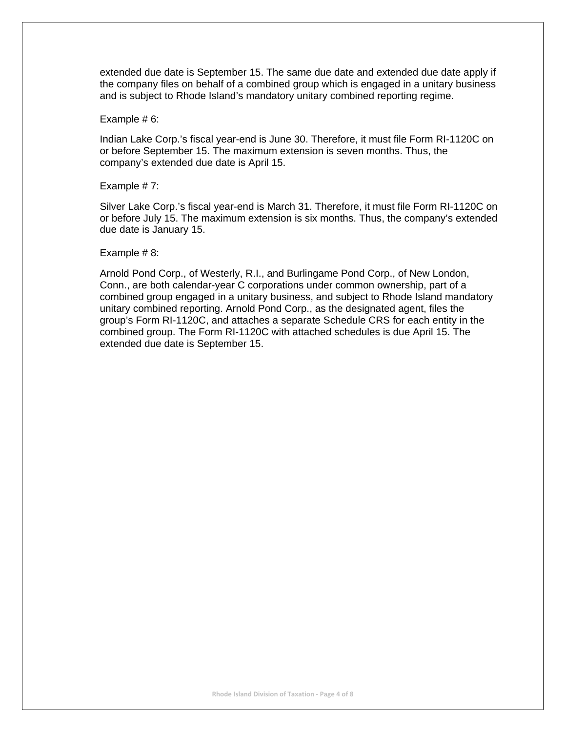extended due date is September 15. The same due date and extended due date apply if the company files on behalf of a combined group which is engaged in a unitary business and is subject to Rhode Island's mandatory unitary combined reporting regime.

#### Example # 6:

Indian Lake Corp.'s fiscal year-end is June 30. Therefore, it must file Form RI-1120C on or before September 15. The maximum extension is seven months. Thus, the company's extended due date is April 15.

#### Example # 7:

Silver Lake Corp.'s fiscal year-end is March 31. Therefore, it must file Form RI-1120C on or before July 15. The maximum extension is six months. Thus, the company's extended due date is January 15.

#### Example # 8:

Arnold Pond Corp., of Westerly, R.I., and Burlingame Pond Corp., of New London, Conn., are both calendar-year C corporations under common ownership, part of a combined group engaged in a unitary business, and subject to Rhode Island mandatory unitary combined reporting. Arnold Pond Corp., as the designated agent, files the group's Form RI-1120C, and attaches a separate Schedule CRS for each entity in the combined group. The Form RI-1120C with attached schedules is due April 15. The extended due date is September 15.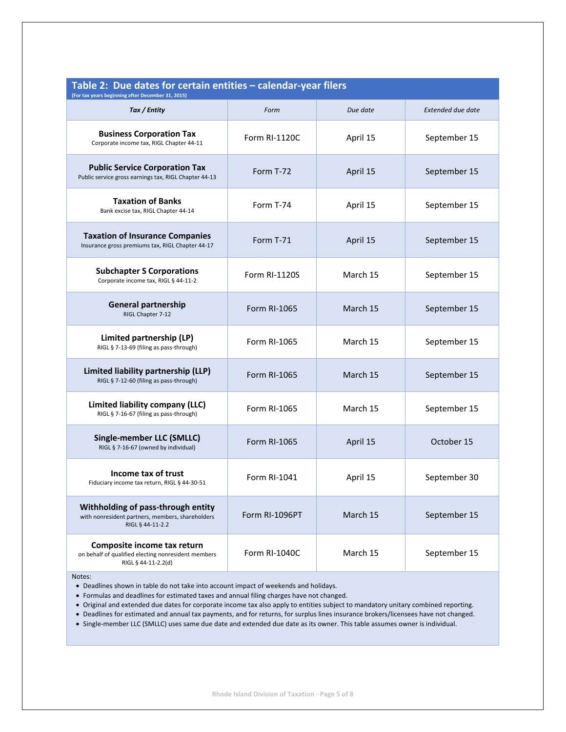| Table 2: Due dates for certain entities - calendar-year filers<br>(For tax years beginning after December 31, 2015) |                      |          |                          |  |  |
|---------------------------------------------------------------------------------------------------------------------|----------------------|----------|--------------------------|--|--|
| Tax / Entity                                                                                                        | Form                 | Due date | <b>Extended due date</b> |  |  |
| <b>Business Corporation Tax</b><br>Corporate income tax, RIGL Chapter 44-11                                         | Form RI-1120C        | April 15 | September 15             |  |  |
| <b>Public Service Corporation Tax</b><br>Public service gross earnings tax, RIGL Chapter 44-13                      | Form T-72            | April 15 | September 15             |  |  |
| <b>Taxation of Banks</b><br>Bank excise tax, RIGL Chapter 44-14                                                     | Form T-74            | April 15 | September 15             |  |  |
| <b>Taxation of Insurance Companies</b><br>Insurance gross premiums tax, RIGL Chapter 44-17                          | Form T-71            | April 15 | September 15             |  |  |
| <b>Subchapter S Corporations</b><br>Corporate income tax, RIGL § 44-11-2                                            | <b>Form RI-1120S</b> | March 15 | September 15             |  |  |
| <b>General partnership</b><br>RIGL Chapter 7-12                                                                     | Form RI-1065         | March 15 | September 15             |  |  |
| Limited partnership (LP)<br>RIGL § 7-13-69 (filing as pass-through)                                                 | Form RI-1065         | March 15 | September 15             |  |  |
| Limited liability partnership (LLP)<br>RIGL § 7-12-60 (filing as pass-through)                                      | Form RI-1065         | March 15 | September 15             |  |  |
| Limited liability company (LLC)<br>RIGL § 7-16-67 (filing as pass-through)                                          | Form RI-1065         | March 15 | September 15             |  |  |
| Single-member LLC (SMLLC)<br>RIGL § 7-16-67 (owned by individual)                                                   | Form RI-1065         | April 15 | October 15               |  |  |
| Income tax of trust<br>Fiduciary income tax return, RIGL § 44-30-51                                                 | Form RI-1041         | April 15 | September 30             |  |  |
| Withholding of pass-through entity<br>with nonresident partners, members, shareholders<br>RIGL § 44-11-2.2          | Form RI-1096PT       | March 15 | September 15             |  |  |
| Composite income tax return<br>on behalf of qualified electing nonresident members<br>RIGL § 44-11-2.2(d)           | Form RI-1040C        | March 15 | September 15             |  |  |

#### Notes:

- Deadlines shown in table do not take into account impact of weekends and holidays.
- Formulas and deadlines for estimated taxes and annual filing charges have not changed.
- Original and extended due dates for corporate income tax also apply to entities subject to mandatory unitary combined reporting.
- Deadlines for estimated and annual tax payments, and for returns, for surplus lines insurance brokers/licensees have not changed.
- Single-member LLC (SMLLC) uses same due date and extended due date as its owner. This table assumes owner is individual.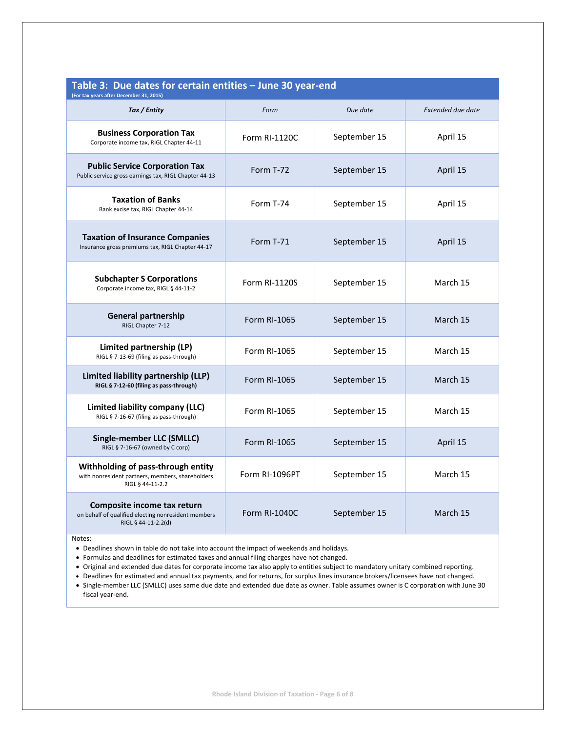| Table 3: Due dates for certain entities - June 30 year-end<br>(For tax years after December 31, 2015)      |                      |              |                          |  |  |  |
|------------------------------------------------------------------------------------------------------------|----------------------|--------------|--------------------------|--|--|--|
| Tax / Entity                                                                                               | Form                 | Due date     | <b>Extended due date</b> |  |  |  |
| <b>Business Corporation Tax</b><br>Corporate income tax, RIGL Chapter 44-11                                | Form RI-1120C        | September 15 | April 15                 |  |  |  |
| <b>Public Service Corporation Tax</b><br>Public service gross earnings tax, RIGL Chapter 44-13             | Form T-72            | September 15 | April 15                 |  |  |  |
| <b>Taxation of Banks</b><br>Bank excise tax, RIGL Chapter 44-14                                            | Form T-74            | September 15 | April 15                 |  |  |  |
| <b>Taxation of Insurance Companies</b><br>Insurance gross premiums tax, RIGL Chapter 44-17                 | Form T-71            | September 15 | April 15                 |  |  |  |
| <b>Subchapter S Corporations</b><br>Corporate income tax, RIGL § 44-11-2                                   | <b>Form RI-1120S</b> | September 15 | March 15                 |  |  |  |
| <b>General partnership</b><br>RIGL Chapter 7-12                                                            | Form RI-1065         | September 15 | March 15                 |  |  |  |
| Limited partnership (LP)<br>RIGL § 7-13-69 (filing as pass-through)                                        | Form RI-1065         | September 15 | March 15                 |  |  |  |
| Limited liability partnership (LLP)<br>RIGL § 7-12-60 (filing as pass-through)                             | Form RI-1065         | September 15 | March 15                 |  |  |  |
| Limited liability company (LLC)<br>RIGL § 7-16-67 (filing as pass-through)                                 | Form RI-1065         | September 15 | March 15                 |  |  |  |
| Single-member LLC (SMLLC)<br>RIGL § 7-16-67 (owned by C corp)                                              | Form RI-1065         | September 15 | April 15                 |  |  |  |
| Withholding of pass-through entity<br>with nonresident partners, members, shareholders<br>RIGL § 44-11-2.2 | Form RI-1096PT       | September 15 | March 15                 |  |  |  |
| Composite income tax return<br>on behalf of qualified electing nonresident members<br>RIGL § 44-11-2.2(d)  | <b>Form RI-1040C</b> | September 15 | March 15                 |  |  |  |

Notes:

Deadlines shown in table do not take into account the impact of weekends and holidays.

Formulas and deadlines for estimated taxes and annual filing charges have not changed.

Original and extended due dates for corporate income tax also apply to entities subject to mandatory unitary combined reporting.

 Deadlines for estimated and annual tax payments, and for returns, for surplus lines insurance brokers/licensees have not changed. • Single-member LLC (SMLLC) uses same due date and extended due date as owner. Table assumes owner is C corporation with June 30 fiscal year‐end.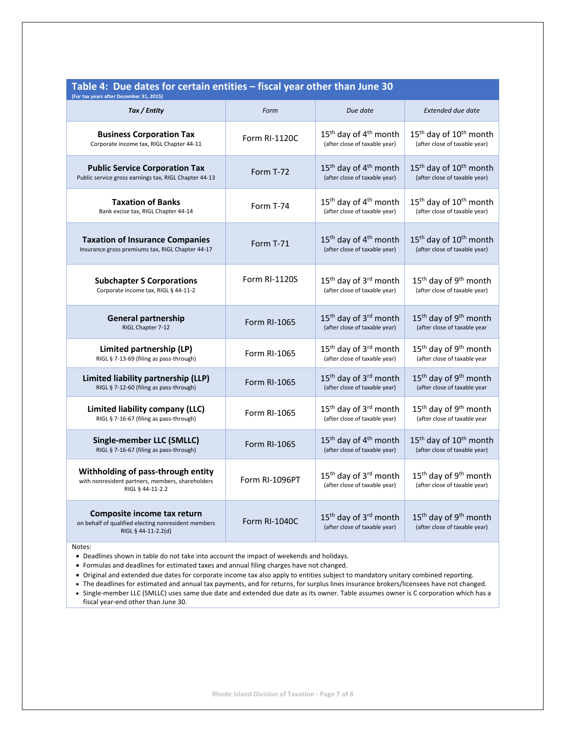| Table 4: Due dates for certain entities - fiscal year other than June 30<br>(For tax years after December 31, 2015) |                      |                                                                                |                                                                                |  |  |  |
|---------------------------------------------------------------------------------------------------------------------|----------------------|--------------------------------------------------------------------------------|--------------------------------------------------------------------------------|--|--|--|
| Tax / Entity                                                                                                        | Form                 | Due date                                                                       | <b>Extended due date</b>                                                       |  |  |  |
| <b>Business Corporation Tax</b>                                                                                     | Form RI-1120C        | 15 <sup>th</sup> day of 4 <sup>th</sup> month                                  | 15 <sup>th</sup> day of 10 <sup>th</sup> month                                 |  |  |  |
| Corporate income tax, RIGL Chapter 44-11                                                                            |                      | (after close of taxable year)                                                  | (after close of taxable year)                                                  |  |  |  |
| <b>Public Service Corporation Tax</b>                                                                               | Form T-72            | 15 <sup>th</sup> day of 4 <sup>th</sup> month                                  | 15 <sup>th</sup> day of 10 <sup>th</sup> month                                 |  |  |  |
| Public service gross earnings tax, RIGL Chapter 44-13                                                               |                      | (after close of taxable year)                                                  | (after close of taxable year)                                                  |  |  |  |
| <b>Taxation of Banks</b>                                                                                            | Form T-74            | 15 <sup>th</sup> day of 4 <sup>th</sup> month                                  | 15 <sup>th</sup> day of 10 <sup>th</sup> month                                 |  |  |  |
| Bank excise tax, RIGL Chapter 44-14                                                                                 |                      | (after close of taxable year)                                                  | (after close of taxable year)                                                  |  |  |  |
| <b>Taxation of Insurance Companies</b>                                                                              | Form T-71            | 15 <sup>th</sup> day of 4 <sup>th</sup> month                                  | 15 <sup>th</sup> day of 10 <sup>th</sup> month                                 |  |  |  |
| Insurance gross premiums tax, RIGL Chapter 44-17                                                                    |                      | (after close of taxable year)                                                  | (after close of taxable year)                                                  |  |  |  |
| <b>Subchapter S Corporations</b>                                                                                    | Form RI-1120S        | 15 <sup>th</sup> day of 3 <sup>rd</sup> month                                  | 15 <sup>th</sup> day of 9 <sup>th</sup> month                                  |  |  |  |
| Corporate income tax, RIGL § 44-11-2                                                                                |                      | (after close of taxable year)                                                  | (after close of taxable year)                                                  |  |  |  |
| <b>General partnership</b>                                                                                          | Form RI-1065         | 15 <sup>th</sup> day of 3 <sup>rd</sup> month                                  | 15 <sup>th</sup> day of 9 <sup>th</sup> month                                  |  |  |  |
| RIGL Chapter 7-12                                                                                                   |                      | (after close of taxable year)                                                  | (after close of taxable year                                                   |  |  |  |
| Limited partnership (LP)                                                                                            | Form RI-1065         | 15 <sup>th</sup> day of 3 <sup>rd</sup> month                                  | 15 <sup>th</sup> day of 9 <sup>th</sup> month                                  |  |  |  |
| RIGL § 7-13-69 (filing as pass-through)                                                                             |                      | (after close of taxable year)                                                  | (after close of taxable year                                                   |  |  |  |
| Limited liability partnership (LLP)                                                                                 | <b>Form RI-1065</b>  | 15 <sup>th</sup> day of 3 <sup>rd</sup> month                                  | 15 <sup>th</sup> day of 9 <sup>th</sup> month                                  |  |  |  |
| RIGL § 7-12-60 (filing as pass-through)                                                                             |                      | (after close of taxable year)                                                  | (after close of taxable year                                                   |  |  |  |
| Limited liability company (LLC)                                                                                     | Form RI-1065         | 15 <sup>th</sup> day of 3 <sup>rd</sup> month                                  | 15 <sup>th</sup> day of 9 <sup>th</sup> month                                  |  |  |  |
| RIGL § 7-16-67 (filing as pass-through)                                                                             |                      | (after close of taxable year)                                                  | (after close of taxable year                                                   |  |  |  |
| <b>Single-member LLC (SMLLC)</b>                                                                                    | <b>Form RI-1065</b>  | 15 <sup>th</sup> day of 4 <sup>th</sup> month                                  | 15 <sup>th</sup> day of 10 <sup>th</sup> month                                 |  |  |  |
| RIGL § 7-16-67 (filing as pass-through)                                                                             |                      | (after close of taxable year)                                                  | (after close of taxable year)                                                  |  |  |  |
| Withholding of pass-through entity<br>with nonresident partners, members, shareholders<br>RIGL § 44-11-2.2          | Form RI-1096PT       | 15 <sup>th</sup> day of 3 <sup>rd</sup> month<br>(after close of taxable year) | 15 <sup>th</sup> day of 9 <sup>th</sup> month<br>(after close of taxable year) |  |  |  |
| Composite income tax return<br>on behalf of qualified electing nonresident members<br>RIGL § 44-11-2.2(d)           | <b>Form RI-1040C</b> | 15 <sup>th</sup> day of 3 <sup>rd</sup> month<br>(after close of taxable year) | 15 <sup>th</sup> day of 9 <sup>th</sup> month<br>(after close of taxable year) |  |  |  |

#### Notes:

Deadlines shown in table do not take into account the impact of weekends and holidays.

Formulas and deadlines for estimated taxes and annual filing charges have not changed.

- Original and extended due dates for corporate income tax also apply to entities subject to mandatory unitary combined reporting.
- The deadlines for estimated and annual tax payments, and for returns, for surplus lines insurance brokers/licensees have not changed.
- Single-member LLC (SMLLC) uses same due date and extended due date as its owner. Table assumes owner is C corporation which has a fiscal year‐end other than June 30.